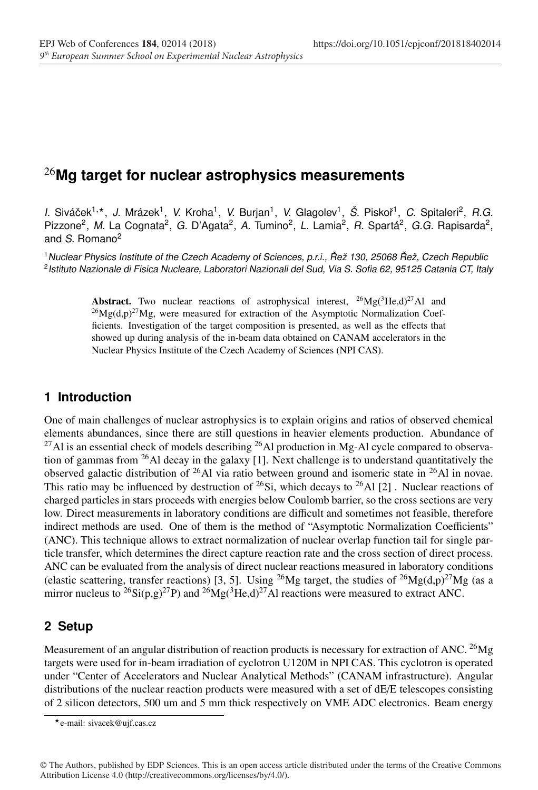# <sup>26</sup>**Mg target for nuclear astrophysics measurements**

*I.* Sivácek ˇ <sup>1</sup>,, *J.* Mrázek1, *V.* Kroha1, *V.* Burjan1, *V.* Glagolev1, *Š.* Piskoˇr 1, *C.* Spitaleri2, *R.G.* Pizzone<sup>2</sup>, *M.* La Cognata<sup>2</sup>, *G.* D'Agata<sup>2</sup>, *A.* Tumino<sup>2</sup>, *L.* Lamia<sup>2</sup>, *R.* Spartá<sup>2</sup>, *G.G.* Rapisarda<sup>2</sup>, and *S.* Romano2

<sup>1</sup>*Nuclear Physics Institute of the Czech Academy of Sciences, p.r.i., Rež 130, 25068 ˇ Rež, Czech Republic ˇ* <sup>2</sup>*Istituto Nazionale di Fisica Nucleare, Laboratori Nazionali del Sud, Via S. Sofia 62, 95125 Catania CT, Italy*

> Abstract. Two nuclear reactions of astrophysical interest,  $^{26}Mg(^{3}He,d)^{27}Al$  and  $^{26}Mg(d,p)^{27}Mg$ , were measured for extraction of the Asymptotic Normalization Coefficients. Investigation of the target composition is presented, as well as the effects that showed up during analysis of the in-beam data obtained on CANAM accelerators in the Nuclear Physics Institute of the Czech Academy of Sciences (NPI CAS).

#### **1 Introduction**

One of main challenges of nuclear astrophysics is to explain origins and ratios of observed chemical elements abundances, since there are still questions in heavier elements production. Abundance of  $^{27}$ Al is an essential check of models describing  $^{26}$ Al production in Mg-Al cycle compared to observation of gammas from  $^{26}$ Al decay in the galaxy [1]. Next challenge is to understand quantitatively the observed galactic distribution of <sup>26</sup>Al via ratio between ground and isomeric state in <sup>26</sup>Al in novae. This ratio may be influenced by destruction of  $^{26}Si$ , which decays to  $^{26}Al$  [2]. Nuclear reactions of charged particles in stars proceeds with energies below Coulomb barrier, so the cross sections are very low. Direct measurements in laboratory conditions are difficult and sometimes not feasible, therefore indirect methods are used. One of them is the method of "Asymptotic Normalization Coefficients" (ANC). This technique allows to extract normalization of nuclear overlap function tail for single particle transfer, which determines the direct capture reaction rate and the cross section of direct process. ANC can be evaluated from the analysis of direct nuclear reactions measured in laboratory conditions (elastic scattering, transfer reactions) [3, 5]. Using <sup>26</sup>Mg target, the studies of <sup>26</sup>Mg(d,p)<sup>27</sup>Mg (as a mirror nucleus to <sup>26</sup>Si(p,g)<sup>27</sup>P) and <sup>26</sup>Mg(<sup>3</sup>He,d)<sup>27</sup>Al reactions were measured to extract ANC.

### **2 Setup**

Measurement of an angular distribution of reaction products is necessary for extraction of ANC. <sup>26</sup>Mg targets were used for in-beam irradiation of cyclotron U120M in NPI CAS. This cyclotron is operated under "Center of Accelerators and Nuclear Analytical Methods" (CANAM infrastructure). Angular distributions of the nuclear reaction products were measured with a set of dE/E telescopes consisting of 2 silicon detectors, 500 um and 5 mm thick respectively on VME ADC electronics. Beam energy

© The Authors, published by EDP Sciences. This is an open access article distributed under the terms of the Creative Commons Attribution License 4.0 (http://creativecommons.org/licenses/by/4.0/).

e-mail: sivacek@ujf.cas.cz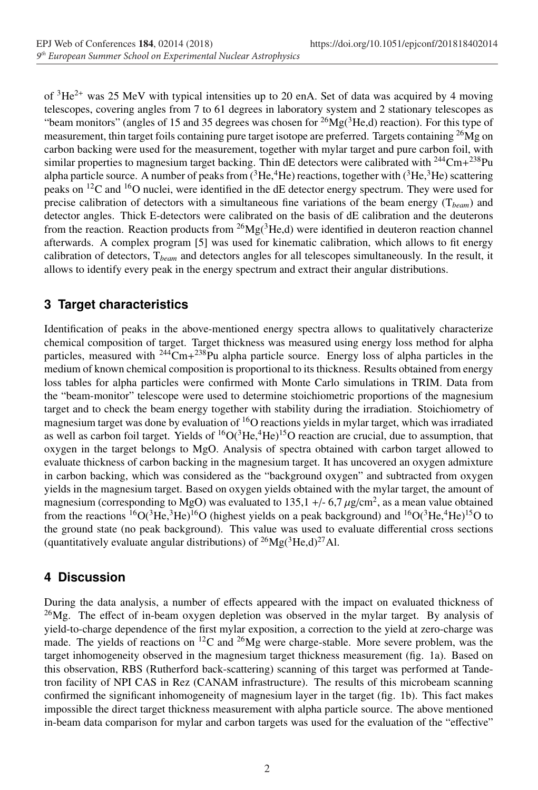of  ${}^{3}He^{2+}$  was 25 MeV with typical intensities up to 20 enA. Set of data was acquired by 4 moving telescopes, covering angles from 7 to 61 degrees in laboratory system and 2 stationary telescopes as "beam monitors" (angles of 15 and 35 degrees was chosen for  ${}^{26}Mg({}^{3}He,d)$  reaction). For this type of measurement, thin target foils containing pure target isotope are preferred. Targets containing  $^{26}Mg$  on carbon backing were used for the measurement, together with mylar target and pure carbon foil, with similar properties to magnesium target backing. Thin dE detectors were calibrated with  $^{244}$ Cm+ $^{238}$ Pu alpha particle source. A number of peaks from  $({}^{3}He, {}^{4}He)$  reactions, together with  $({}^{3}He, {}^{3}He)$  scattering peaks on 12C and 16O nuclei, were identified in the dE detector energy spectrum. They were used for precise calibration of detectors with a simultaneous fine variations of the beam energy (T*beam*) and detector angles. Thick E-detectors were calibrated on the basis of dE calibration and the deuterons from the reaction. Reaction products from  ${}^{26}Mg({}^{3}He,d)$  were identified in deuteron reaction channel afterwards. A complex program [5] was used for kinematic calibration, which allows to fit energy calibration of detectors, T*beam* and detectors angles for all telescopes simultaneously. In the result, it allows to identify every peak in the energy spectrum and extract their angular distributions.

## **3 Target characteristics**

Identification of peaks in the above-mentioned energy spectra allows to qualitatively characterize chemical composition of target. Target thickness was measured using energy loss method for alpha particles, measured with  $244 \text{Cm} + 238 \text{Pu}$  alpha particle source. Energy loss of alpha particles in the medium of known chemical composition is proportional to its thickness. Results obtained from energy loss tables for alpha particles were confirmed with Monte Carlo simulations in TRIM. Data from the "beam-monitor" telescope were used to determine stoichiometric proportions of the magnesium target and to check the beam energy together with stability during the irradiation. Stoichiometry of magnesium target was done by evaluation of 16O reactions yields in mylar target, which was irradiated as well as carbon foil target. Yields of  ${}^{16}O(^{3}He, {}^{4}He)^{15}O$  reaction are crucial, due to assumption, that oxygen in the target belongs to MgO. Analysis of spectra obtained with carbon target allowed to evaluate thickness of carbon backing in the magnesium target. It has uncovered an oxygen admixture in carbon backing, which was considered as the "background oxygen" and subtracted from oxygen yields in the magnesium target. Based on oxygen yields obtained with the mylar target, the amount of magnesium (corresponding to MgO) was evaluated to 135,1 +/- 6,7  $\mu$ g/cm<sup>2</sup>, as a mean value obtained from the reactions  ${}^{16}O(^{3}He, {}^{3}He)^{16}O$  (highest yields on a peak background) and  ${}^{16}O({}^{3}He, {}^{4}He)^{15}O$  to the ground state (no peak background). This value was used to evaluate differential cross sections (quantitatively evaluate angular distributions) of  ${}^{26}Mg({}^{3}He,d){}^{27}Al$ .

# **4 Discussion**

During the data analysis, a number of effects appeared with the impact on evaluated thickness of  $^{26}Mg$ . The effect of in-beam oxygen depletion was observed in the mylar target. By analysis of yield-to-charge dependence of the first mylar exposition, a correction to the yield at zero-charge was made. The yields of reactions on  ${}^{12}C$  and  ${}^{26}Mg$  were charge-stable. More severe problem, was the target inhomogeneity observed in the magnesium target thickness measurement (fig. 1a). Based on this observation, RBS (Rutherford back-scattering) scanning of this target was performed at Tandetron facility of NPI CAS in Rez (CANAM infrastructure). The results of this microbeam scanning confirmed the significant inhomogeneity of magnesium layer in the target (fig. 1b). This fact makes impossible the direct target thickness measurement with alpha particle source. The above mentioned in-beam data comparison for mylar and carbon targets was used for the evaluation of the "effective"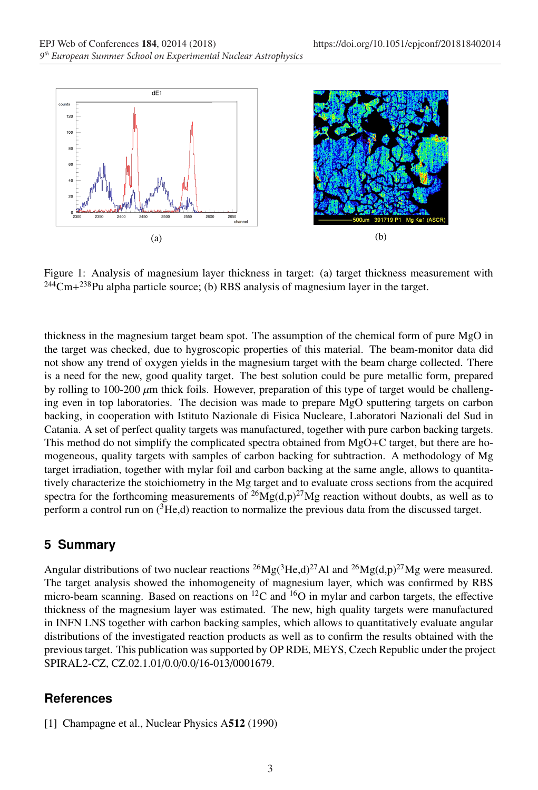

Figure 1: Analysis of magnesium layer thickness in target: (a) target thickness measurement with  $244$ Cm+ $238$ Pu alpha particle source; (b) RBS analysis of magnesium layer in the target.

thickness in the magnesium target beam spot. The assumption of the chemical form of pure MgO in the target was checked, due to hygroscopic properties of this material. The beam-monitor data did not show any trend of oxygen yields in the magnesium target with the beam charge collected. There is a need for the new, good quality target. The best solution could be pure metallic form, prepared by rolling to  $100-200 \mu m$  thick foils. However, preparation of this type of target would be challenging even in top laboratories. The decision was made to prepare MgO sputtering targets on carbon backing, in cooperation with Istituto Nazionale di Fisica Nucleare, Laboratori Nazionali del Sud in Catania. A set of perfect quality targets was manufactured, together with pure carbon backing targets. This method do not simplify the complicated spectra obtained from MgO+C target, but there are homogeneous, quality targets with samples of carbon backing for subtraction. A methodology of Mg target irradiation, together with mylar foil and carbon backing at the same angle, allows to quantitatively characterize the stoichiometry in the Mg target and to evaluate cross sections from the acquired spectra for the forthcoming measurements of  $^{26}Mg(d,p)^{27}Mg$  reaction without doubts, as well as to perform a control run on  $(^{3}He,d)$  reaction to normalize the previous data from the discussed target.

#### **5 Summary**

Angular distributions of two nuclear reactions <sup>26</sup>Mg(<sup>3</sup>He,d)<sup>27</sup>Al and <sup>26</sup>Mg(d,p)<sup>27</sup>Mg were measured. The target analysis showed the inhomogeneity of magnesium layer, which was confirmed by RBS micro-beam scanning. Based on reactions on  ${}^{12}C$  and  ${}^{16}O$  in mylar and carbon targets, the effective thickness of the magnesium layer was estimated. The new, high quality targets were manufactured in INFN LNS together with carbon backing samples, which allows to quantitatively evaluate angular distributions of the investigated reaction products as well as to confirm the results obtained with the previous target. This publication was supported by OP RDE, MEYS, Czech Republic under the project SPIRAL2-CZ, CZ.02.1.01/0.0/0.0/16-013/0001679.

### **References**

[1] Champagne et al., Nuclear Physics A512 (1990)